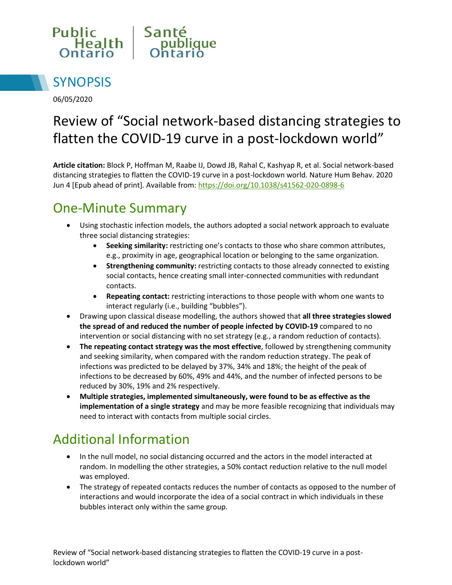



06/05/2020

# Review of "Social network-based distancing strategies to flatten the COVID-19 curve in a post-lockdown world"

**Article citation:** Block P, Hoffman M, Raabe IJ, Dowd JB, Rahal C, Kashyap R, et al. Social network-based distancing strategies to flatten the COVID-19 curve in a post-lockdown world. Nature Hum Behav. 2020 Jun 4 [Epub ahead of print]. Available from[: https://doi.org/10.1038/s41562-020-0898-6](https://doi.org/10.1038/s41562-020-0898-6)

### One-Minute Summary

- Using stochastic infection models, the authors adopted a social network approach to evaluate three social distancing strategies:
	- **Seeking similarity:** restricting one's contacts to those who share common attributes, e.g., proximity in age, geographical location or belonging to the same organization.
	- **Strengthening community:** restricting contacts to those already connected to existing social contacts, hence creating small inter-connected communities with redundant contacts.
	- **Repeating contact:** restricting interactions to those people with whom one wants to interact regularly (i.e., building "bubbles").
- Drawing upon classical disease modelling, the authors showed that **all three strategies slowed the spread of and reduced the number of people infected by COVID-19** compared to no intervention or social distancing with no set strategy (e.g., a random reduction of contacts).
- **The repeating contact strategy was the most effective**, followed by strengthening community and seeking similarity, when compared with the random reduction strategy. The peak of infections was predicted to be delayed by 37%, 34% and 18%; the height of the peak of infections to be decreased by 60%, 49% and 44%, and the number of infected persons to be reduced by 30%, 19% and 2% respectively.
- **Multiple strategies, implemented simultaneously, were found to be as effective as the implementation of a single strategy** and may be more feasible recognizing that individuals may need to interact with contacts from multiple social circles.

## Additional Information

- In the null model, no social distancing occurred and the actors in the model interacted at random. In modelling the other strategies, a 50% contact reduction relative to the null model was employed.
- The strategy of repeated contacts reduces the number of contacts as opposed to the number of interactions and would incorporate the idea of a social contract in which individuals in these bubbles interact only within the same group.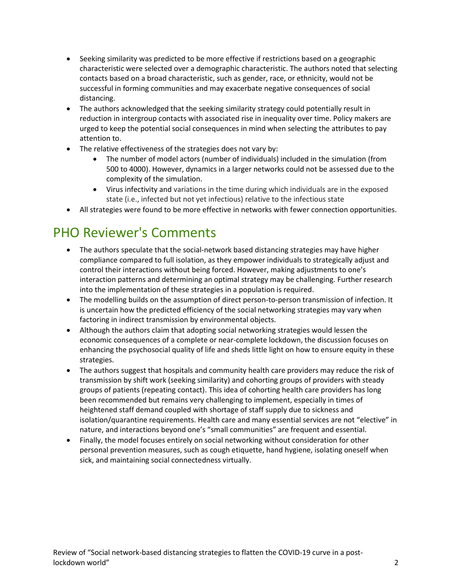- Seeking similarity was predicted to be more effective if restrictions based on a geographic characteristic were selected over a demographic characteristic. The authors noted that selecting contacts based on a broad characteristic, such as gender, race, or ethnicity, would not be successful in forming communities and may exacerbate negative consequences of social distancing.
- The authors acknowledged that the seeking similarity strategy could potentially result in reduction in intergroup contacts with associated rise in inequality over time. Policy makers are urged to keep the potential social consequences in mind when selecting the attributes to pay attention to.
- The relative effectiveness of the strategies does not vary by:
	- The number of model actors (number of individuals) included in the simulation (from 500 to 4000). However, dynamics in a larger networks could not be assessed due to the complexity of the simulation.
	- Virus infectivity and variations in the time during which individuals are in the exposed state (i.e., infected but not yet infectious) relative to the infectious state
- All strategies were found to be more effective in networks with fewer connection opportunities.

### PHO Reviewer's Comments

- The authors speculate that the social-network based distancing strategies may have higher compliance compared to full isolation, as they empower individuals to strategically adjust and control their interactions without being forced. However, making adjustments to one's interaction patterns and determining an optimal strategy may be challenging. Further research into the implementation of these strategies in a population is required.
- The modelling builds on the assumption of direct person-to-person transmission of infection. It is uncertain how the predicted efficiency of the social networking strategies may vary when factoring in indirect transmission by environmental objects.
- Although the authors claim that adopting social networking strategies would lessen the economic consequences of a complete or near-complete lockdown, the discussion focuses on enhancing the psychosocial quality of life and sheds little light on how to ensure equity in these strategies.
- The authors suggest that hospitals and community health care providers may reduce the risk of transmission by shift work (seeking similarity) and cohorting groups of providers with steady groups of patients (repeating contact). This idea of cohorting health care providers has long been recommended but remains very challenging to implement, especially in times of heightened staff demand coupled with shortage of staff supply due to sickness and isolation/quarantine requirements. Health care and many essential services are not "elective" in nature, and interactions beyond one's "small communities" are frequent and essential.
- Finally, the model focuses entirely on social networking without consideration for other personal prevention measures, such as cough etiquette, hand hygiene, isolating oneself when sick, and maintaining social connectedness virtually.